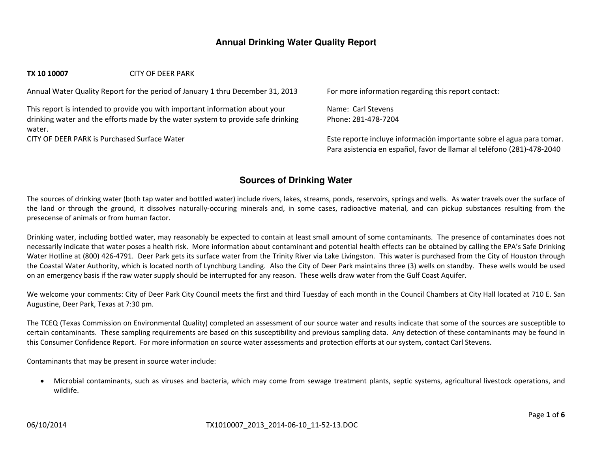# **Annual Drinking Water Quality Report**

#### **TX10 10007** CITY OF DEER PARK

Annual Water Quality Report for the period of January 1 thru December 31, 2013 For more information regarding this report contact:

This report is intended to provide you with important information about your drinking water and the efforts made by the water system to provide safe drinking water.

CITY OF DEER

Name: Carl StevensPhone: 281‐478‐7204

Este reporte incluye información importante sobre el agua para tomar. Para asistencia en español, favor de llamar al teléfono (281)‐478‐2040

## **Sources of Drinking Water**

The sources of drinking water (both tap water and bottled water) include rivers, lakes, streams, ponds, reservoirs, springs and wells. As water travels over the surface of the land or through the ground, it dissolves naturally‐occuring minerals and, in some cases, radioactive material, and can pickup substances resulting from the presecense of animals or from human factor.

Drinking water, including bottled water, may reasonably be expected to contain at least small amount of some contaminants. The presence of contaminates does not necessarily indicate that water poses <sup>a</sup> health risk. More information about contaminant and potential health effects can be obtained by calling the EPA's Safe Drinking Water Hotline at (800) 426‐4791. Deer Park gets its surface water from the Trinity River via Lake Livingston. This water is purchased from the City of Houston through the Coastal Water Authority, which is located north of Lynchburg Landing. Also the City of Deer Park maintains three (3) wells on standby. These wells would be used on an emergency basis if the raw water supply should be interrupted for any reason. These wells draw water from the Gulf Coast Aquifer.

We welcome your comments: City of Deer Park City Council meets the first and third Tuesday of each month in the Council Chambers at City Hall located at 710 E. San Augustine, Deer Park, Texas at 7:30 pm.

The TCEQ (Texas Commission on Environmental Quality) completed an assessment of our source water and results indicate that some of the sources are susceptible to certain contaminants. These sampling requirements are based on this susceptibility and previous sampling data. Any detection of these contaminants may be found in this Consumer Confidence Report. For more information on source water assessments and protection efforts at our system, contact Carl Stevens.

Contaminants that may be present in source water include:

 Microbial contaminants, such as viruses and bacteria, which may come from sewage treatment plants, septic systems, agricultural livestock operations, and wildlife.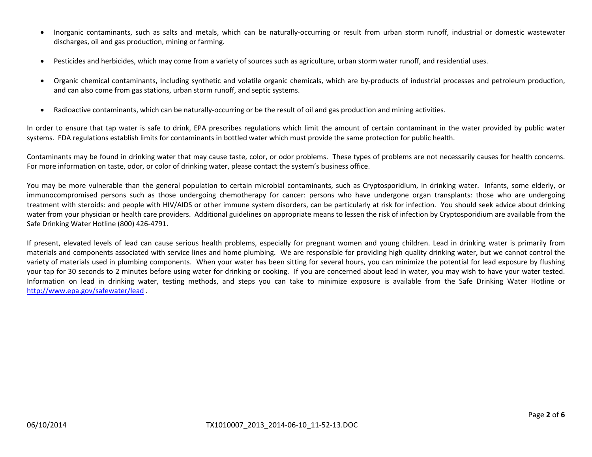- 0 Inorganic contaminants, such as salts and metals, which can be naturally‐occurring or result from urban storm runoff, industrial or domestic wastewater discharges, oil and gas production, mining or farming.
- 0 Pesticides and herbicides, which may come from <sup>a</sup> variety of sources such as agriculture, urban storm water runoff, and residential uses.
- $\bullet$  Organic chemical contaminants, including synthetic and volatile organic chemicals, which are by‐products of industrial processes and petroleum production, and can also come from gas stations, urban storm runoff, and septic systems.
- $\bullet$ ● Radioactive contaminants, which can be naturally-occurring or be the result of oil and gas production and mining activities.

In order to ensure that tap water is safe to drink, EPA prescribes regulations which limit the amount of certain contaminant in the water provided by public water systems. FDA regulations establish limits for contaminants in bottled water which must provide the same protection for public health.

Contaminants may be found in drinking water that may cause taste, color, or odor problems. These types of problems are not necessarily causes for health concerns. For more information on taste, odor, or color of drinking water, please contact the system's business office.

You may be more vulnerable than the general population to certain microbial contaminants, such as Cryptosporidium, in drinking water. Infants, some elderly, or immunocompromised persons such as those undergoing chemotherapy for cancer: persons who have undergone organ transplants: those who are undergoing treatment with steroids: and people with HIV/AIDS or other immune system disorders, can be particularly at risk for infection. You should seek advice about drinking water from your physician or health care providers. Additional guidelines on appropriate means to lessen the risk of infection by Cryptosporidium are available from the Safe Drinking Water Hotline (800) 426‐4791.

If present, elevated levels of lead can cause serious health problems, especially for pregnant women and young children. Lead in drinking water is primarily from materials and components associated with service lines and home plumbing. We are responsible for providing high quality drinking water, but we cannot control the variety of materials used in plumbing components. When your water has been sitting for several hours, you can minimize the potential for lead exposure by flushing your tap for 30 seconds to 2 minutes before using water for drinking or cooking. If you are concerned about lead in water, you may wish to have your water tested. Information on lead in drinking water, testing methods, and steps you can take to minimize exposure is available from the Safe Drinking Water Hotline or http://www.epa.gov/safewater/lead .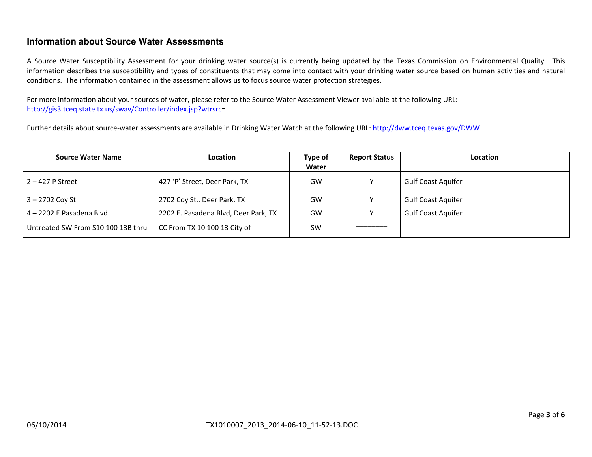# **Information about Source Water Assessments**

A Source Water Susceptibility Assessment for your drinking water source(s) is currently being updated by the Texas Commission on Environmental Quality. This information describes the susceptibility and types of constituents that may come into contact with your drinking water source based on human activities and natural conditions. The information contained in the assessment allows us to focus source water protection strategies.

For more information about your sources of water, please refer to the Source Water Assessment Viewer available at the following URL: http://gis3.tceq.state.tx.us/swav/Controller/index.jsp?wtrsrc=

Further details about source-water assessments are available in Drinking Water Watch at the following URL: http://dww.tceq.texas.gov/DWW

| <b>Source Water Name</b>           | <b>Location</b>                      | Type of<br>Water | <b>Report Status</b> | <b>Location</b>           |
|------------------------------------|--------------------------------------|------------------|----------------------|---------------------------|
| $2 - 427$ P Street                 | 427 'P' Street, Deer Park, TX        | GW               |                      | <b>Gulf Coast Aquifer</b> |
| $3 - 2702$ Coy St                  | 2702 Coy St., Deer Park, TX          | GW               |                      | <b>Gulf Coast Aquifer</b> |
| 4-2202 E Pasadena Blvd             | 2202 E. Pasadena Blvd, Deer Park, TX | GW               |                      | <b>Gulf Coast Aquifer</b> |
| Untreated SW From S10 100 13B thru | CC From TX 10 100 13 City of         | <b>SW</b>        |                      |                           |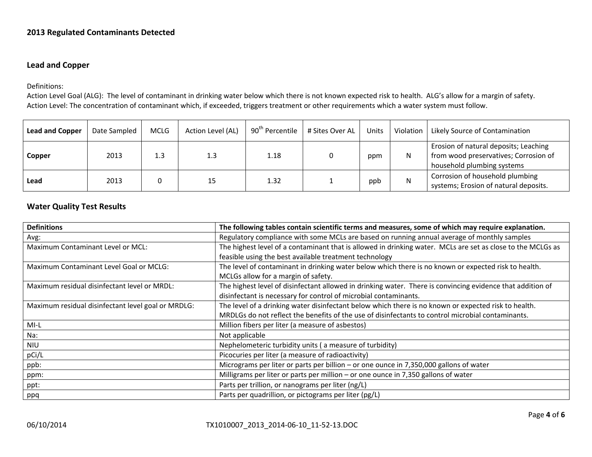#### **2013 Regulated Contaminants Detected**

#### **Lead and Copper**

Definitions:

Action Level Goal (ALG): The level of contaminant in drinking water below which there is not known expected risk to health. ALG's allow for <sup>a</sup> margin of safety. Action Level: The concentration of contaminant which, if exceeded, triggers treatment or other requirements which <sup>a</sup> water system must follow.

| <b>Lead and Copper</b> | Date Sampled | <b>MCLG</b> | Action Level (AL) | 90 <sup>th</sup> Percentile | # Sites Over AL | <b>Units</b> | Violation | Likely Source of Contamination                                                                               |
|------------------------|--------------|-------------|-------------------|-----------------------------|-----------------|--------------|-----------|--------------------------------------------------------------------------------------------------------------|
| Copper                 | 2013         |             | 1.3               | 1.18                        |                 | ppm          | N         | Erosion of natural deposits; Leaching<br>from wood preservatives; Corrosion of<br>household plumbing systems |
| Lead                   | 2013         |             |                   | 1.32                        |                 | ppb          | N         | Corrosion of household plumbing<br>systems; Erosion of natural deposits.                                     |

### **Water Quality Test Results**

| <b>Definitions</b>                                 | The following tables contain scientific terms and measures, some of which may require explanation.          |
|----------------------------------------------------|-------------------------------------------------------------------------------------------------------------|
| Avg:                                               | Regulatory compliance with some MCLs are based on running annual average of monthly samples                 |
| Maximum Contaminant Level or MCL:                  | The highest level of a contaminant that is allowed in drinking water. MCLs are set as close to the MCLGs as |
|                                                    | feasible using the best available treatment technology                                                      |
| Maximum Contaminant Level Goal or MCLG:            | The level of contaminant in drinking water below which there is no known or expected risk to health.        |
|                                                    | MCLGs allow for a margin of safety.                                                                         |
| Maximum residual disinfectant level or MRDL:       | The highest level of disinfectant allowed in drinking water. There is convincing evidence that addition of  |
|                                                    | disinfectant is necessary for control of microbial contaminants.                                            |
| Maximum residual disinfectant level goal or MRDLG: | The level of a drinking water disinfectant below which there is no known or expected risk to health.        |
|                                                    | MRDLGs do not reflect the benefits of the use of disinfectants to control microbial contaminants.           |
| MI-L                                               | Million fibers per liter (a measure of asbestos)                                                            |
| Na:                                                | Not applicable                                                                                              |
| <b>NIU</b>                                         | Nephelometeric turbidity units (a measure of turbidity)                                                     |
| pCi/L                                              | Picocuries per liter (a measure of radioactivity)                                                           |
| ppb:                                               | Micrograms per liter or parts per billion - or one ounce in 7,350,000 gallons of water                      |
| ppm:                                               | Milligrams per liter or parts per million – or one ounce in 7,350 gallons of water                          |
| ppt:                                               | Parts per trillion, or nanograms per liter (ng/L)                                                           |
| ppq                                                | Parts per quadrillion, or pictograms per liter (pg/L)                                                       |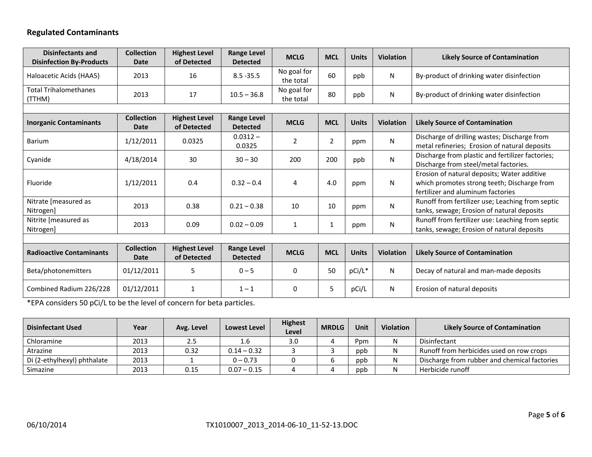# **Regulated Contaminants**

| <b>Disinfectants and</b><br><b>Disinfection By-Products</b> | <b>Collection</b><br>Date        | <b>Highest Level</b><br>of Detected | <b>Range Level</b><br><b>Detected</b> | <b>MCLG</b>              | <b>MCL</b>     | <b>Units</b> | <b>Violation</b> | <b>Likely Source of Contamination</b>                                                                                           |  |
|-------------------------------------------------------------|----------------------------------|-------------------------------------|---------------------------------------|--------------------------|----------------|--------------|------------------|---------------------------------------------------------------------------------------------------------------------------------|--|
| Haloacetic Acids (HAA5)                                     | 2013                             | 16                                  | $8.5 - 35.5$                          | No goal for<br>the total | 60             | ppb          | N                | By-product of drinking water disinfection                                                                                       |  |
| <b>Total Trihalomethanes</b><br>(TTHM)                      | 2013                             | 17                                  | $10.5 - 36.8$                         | No goal for<br>the total | 80             | ppb          | N                | By-product of drinking water disinfection                                                                                       |  |
|                                                             |                                  |                                     |                                       |                          |                |              |                  |                                                                                                                                 |  |
| <b>Inorganic Contaminants</b>                               | <b>Collection</b><br><b>Date</b> | <b>Highest Level</b><br>of Detected | <b>Range Level</b><br><b>Detected</b> | <b>MCLG</b>              | <b>MCL</b>     | <b>Units</b> | <b>Violation</b> | <b>Likely Source of Contamination</b>                                                                                           |  |
| <b>Barium</b>                                               | 1/12/2011                        | 0.0325                              | $0.0312 -$<br>0.0325                  | $\overline{2}$           | $\overline{2}$ | ppm          | N                | Discharge of drilling wastes; Discharge from<br>metal refineries; Erosion of natural deposits                                   |  |
| Cyanide                                                     | 4/18/2014                        | 30                                  | $30 - 30$                             | 200                      | 200            | ppb          | N                | Discharge from plastic and fertilizer factories;<br>Discharge from steel/metal factories.                                       |  |
| Fluoride                                                    | 1/12/2011                        | 0.4                                 | $0.32 - 0.4$                          | 4                        | 4.0            | ppm          | N                | Erosion of natural deposits; Water additive<br>which promotes strong teeth; Discharge from<br>fertilizer and aluminum factories |  |
| Nitrate [measured as<br>Nitrogen]                           | 2013                             | 0.38                                | $0.21 - 0.38$                         | 10                       | 10             | ppm          | N                | Runoff from fertilizer use; Leaching from septic<br>tanks, sewage; Erosion of natural deposits                                  |  |
| Nitrite [measured as<br>Nitrogen]                           | 2013                             | 0.09                                | $0.02 - 0.09$                         | $\mathbf{1}$             | 1              | ppm          | N                | Runoff from fertilizer use: Leaching from septic<br>tanks, sewage; Erosion of natural deposits                                  |  |
|                                                             |                                  |                                     |                                       |                          |                |              |                  |                                                                                                                                 |  |
| <b>Radioactive Contaminants</b>                             | <b>Collection</b><br><b>Date</b> | <b>Highest Level</b><br>of Detected | <b>Range Level</b><br><b>Detected</b> | <b>MCLG</b>              | <b>MCL</b>     | <b>Units</b> | <b>Violation</b> | <b>Likely Source of Contamination</b>                                                                                           |  |
| Beta/photonemitters                                         | 01/12/2011                       | 5                                   | $0 - 5$                               | 0                        | 50             | pCi/L*       | N                | Decay of natural and man-made deposits                                                                                          |  |
| Combined Radium 226/228                                     | 01/12/2011                       | 1                                   | $1 - 1$                               | 0                        | 5              | pCi/L        | N                | Erosion of natural deposits                                                                                                     |  |

\*EPA considers 50 pCi/L to be the level of concern for beta particles.

| <b>Disinfectant Used</b>    | Year | Avg. Level | Lowest Level  | <b>Highest</b><br>Level | <b>MRDLG</b> | Unit | Violation | <b>Likely Source of Contamination</b>        |
|-----------------------------|------|------------|---------------|-------------------------|--------------|------|-----------|----------------------------------------------|
| Chloramine                  | 2013 | 2.5        | 1.6           | 3.0                     |              | Ppm  |           | Disinfectant                                 |
| Atrazine                    | 2013 | 0.32       | $0.14 - 0.32$ |                         |              | ppb  |           | Runoff from herbicides used on row crops     |
| Di (2-ethylhexyl) phthalate | 2013 |            | $0 - 0.73$    |                         |              | ppb  |           | Discharge from rubber and chemical factories |
| Simazine                    | 2013 | 0.15       | $0.07 - 0.15$ |                         |              | ppb  |           | Herbicide runoff                             |